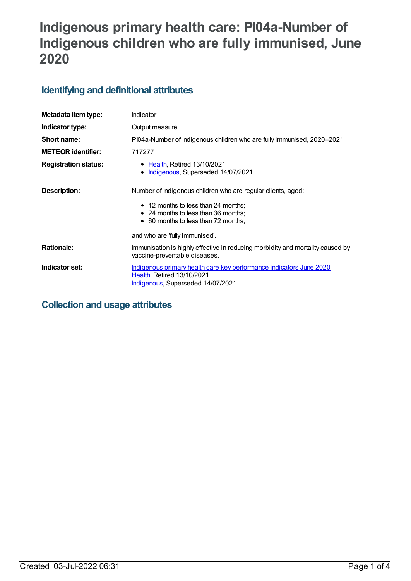# **Indigenous primary health care: PI04a-Number of Indigenous children who are fully immunised, June 2020**

## **Identifying and definitional attributes**

| Metadata item type:         | Indicator                                                                                                                                                                         |
|-----------------------------|-----------------------------------------------------------------------------------------------------------------------------------------------------------------------------------|
| Indicator type:             | Output measure                                                                                                                                                                    |
| Short name:                 | PI04a-Number of Indigenous children who are fully immunised, 2020-2021                                                                                                            |
| <b>METEOR identifier:</b>   | 717277                                                                                                                                                                            |
| <b>Registration status:</b> | • Health, Retired 13/10/2021<br>Indigenous, Superseded 14/07/2021<br>$\bullet$                                                                                                    |
| Description:                | Number of Indigenous children who are regular clients, aged:<br>• 12 months to less than 24 months;<br>• 24 months to less than 36 months;<br>• 60 months to less than 72 months; |
|                             | and who are 'fully immunised'.                                                                                                                                                    |
| <b>Rationale:</b>           | Immunisation is highly effective in reducing morbidity and mortality caused by<br>vaccine-preventable diseases.                                                                   |
| Indicator set:              | Indigenous primary health care key performance indicators June 2020<br><b>Health, Retired 13/10/2021</b><br>Indigenous, Superseded 14/07/2021                                     |

## **Collection and usage attributes**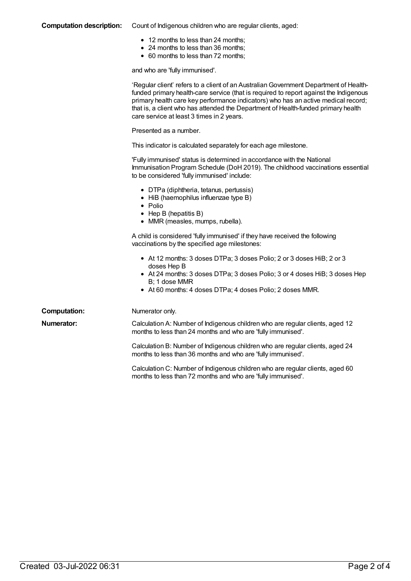#### **Computation description:** Count of Indigenous children who are regular clients, aged:

- 12 months to less than 24 months;
- 24 months to less than 36 months;
- 60 months to less than 72 months;

and who are 'fully immunised'.

|                     | 'Regular client' refers to a client of an Australian Government Department of Health-<br>funded primary health-care service (that is required to report against the Indigenous<br>primary health care key performance indicators) who has an active medical record;<br>that is, a client who has attended the Department of Health-funded primary health<br>care service at least 3 times in 2 years. |
|---------------------|-------------------------------------------------------------------------------------------------------------------------------------------------------------------------------------------------------------------------------------------------------------------------------------------------------------------------------------------------------------------------------------------------------|
|                     | Presented as a number.                                                                                                                                                                                                                                                                                                                                                                                |
|                     | This indicator is calculated separately for each age milestone.                                                                                                                                                                                                                                                                                                                                       |
|                     | 'Fully immunised' status is determined in accordance with the National<br>Immunisation Program Schedule (DoH 2019). The childhood vaccinations essential<br>to be considered 'fully immunised' include:                                                                                                                                                                                               |
|                     | • DTPa (diphtheria, tetanus, pertussis)<br>• HiB (haemophilus influenzae type B)<br>$\bullet$ Polio<br>$\bullet$ Hep B (hepatitis B)<br>• MMR (measles, mumps, rubella).                                                                                                                                                                                                                              |
|                     | A child is considered 'fully immunised' if they have received the following<br>vaccinations by the specified age milestones:                                                                                                                                                                                                                                                                          |
|                     | • At 12 months: 3 doses DTPa; 3 doses Polio; 2 or 3 doses HiB; 2 or 3<br>doses Hep B<br>• At 24 months: 3 doses DTPa; 3 doses Polio; 3 or 4 doses HiB; 3 doses Hep<br>B; 1 dose MMR<br>• At 60 months: 4 doses DTPa; 4 doses Polio; 2 doses MMR.                                                                                                                                                      |
| <b>Computation:</b> | Numerator only.                                                                                                                                                                                                                                                                                                                                                                                       |
| <b>Numerator:</b>   | Calculation A: Number of Indigenous children who are regular clients, aged 12<br>months to less than 24 months and who are 'fully immunised'.                                                                                                                                                                                                                                                         |
|                     | Calculation B: Number of Indigenous children who are regular clients, aged 24<br>months to less than 36 months and who are 'fully immunised'.                                                                                                                                                                                                                                                         |
|                     | Calculation C: Number of Indigenous children who are regular clients, aged 60<br>months to less than 72 months and who are 'fully immunised'.                                                                                                                                                                                                                                                         |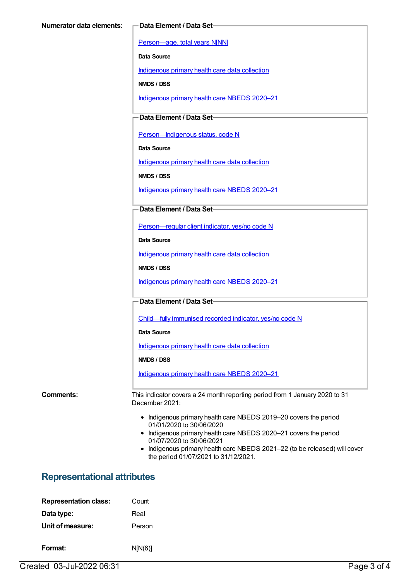[Person—age,](https://meteor.aihw.gov.au/content/303794) total years N[NN]

**Data Source**

[Indigenous](https://meteor.aihw.gov.au/content/430643) primary health care data collection

**NMDS / DSS**

[Indigenous](https://meteor.aihw.gov.au/content/715320) primary health care NBEDS 2020–21

**Data Element / Data Set**

Person-Indigenous status, code N

**Data Source**

[Indigenous](https://meteor.aihw.gov.au/content/430643) primary health care data collection

**NMDS / DSS**

[Indigenous](https://meteor.aihw.gov.au/content/715320) primary health care NBEDS 2020–21

#### **Data Element / Data Set**

[Person—regular](https://meteor.aihw.gov.au/content/686291) client indicator, yes/no code N

**Data Source**

[Indigenous](https://meteor.aihw.gov.au/content/430643) primary health care data collection

**NMDS / DSS**

[Indigenous](https://meteor.aihw.gov.au/content/715320) primary health care NBEDS 2020–21

#### **Data Element / Data Set**

[Child—fully](https://meteor.aihw.gov.au/content/720830) immunised recorded indicator, yes/no code N

**Data Source**

[Indigenous](https://meteor.aihw.gov.au/content/430643) primary health care data collection

**NMDS / DSS**

[Indigenous](https://meteor.aihw.gov.au/content/715320) primary health care NBEDS 2020–21

**Comments:** This indicator covers a 24 month reporting period from 1 January 2020 to 31 December 2021:

- Indigenous primary health care NBEDS 2019–20 covers the period 01/01/2020 to 30/06/2020
- Indigenous primary health care NBEDS 2020-21 covers the period 01/07/2020 to 30/06/2021
- Indigenous primary health care NBEDS 2021-22 (to be released) will cover the period 01/07/2021 to 31/12/2021.

### **Representational attributes**

| <b>Representation class:</b> | Count   |
|------------------------------|---------|
| Data type:                   | Real    |
| Unit of measure:             | Person  |
| Format:                      | N[N(6)] |